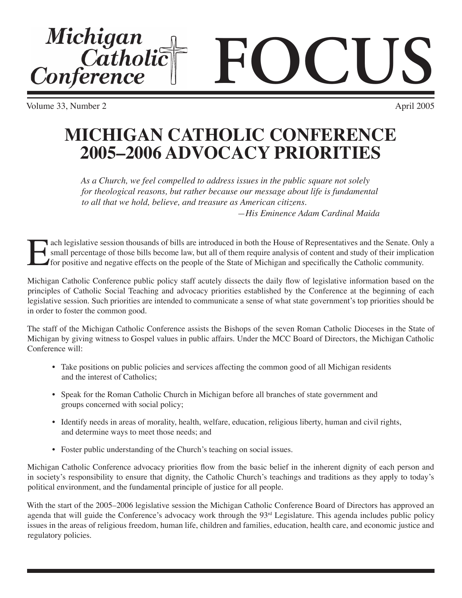Volume 33, Number 2 April 2005



*As a Church, we feel compelled to address issues in the public square not solely for theological reasons, but rather because our message about life is fundamental to all that we hold, believe, and treasure as American citizens.*

*—His Eminence Adam Cardinal Maida*

The legislative session thousands of bills are introduced in both the House of Representatives and the Senate. Only a small percentage of those bills become law, but all of them require analysis of content and study of the small percentage of those bills become law, but all of them require analysis of content and study of their implication for positive and negative effects on the people of the State of Michigan and specifically the Catholic community.

Michigan Catholic Conference public policy staff acutely dissects the daily flow of legislative information based on the principles of Catholic Social Teaching and advocacy priorities established by the Conference at the beginning of each legislative session. Such priorities are intended to communicate a sense of what state government's top priorities should be in order to foster the common good.

The staff of the Michigan Catholic Conference assists the Bishops of the seven Roman Catholic Dioceses in the State of Michigan by giving witness to Gospel values in public affairs. Under the MCC Board of Directors, the Michigan Catholic Conference will:

- Take positions on public policies and services affecting the common good of all Michigan residents and the interest of Catholics;
- Speak for the Roman Catholic Church in Michigan before all branches of state government and groups concerned with social policy;
- Identify needs in areas of morality, health, welfare, education, religious liberty, human and civil rights, and determine ways to meet those needs; and
- Foster public understanding of the Church's teaching on social issues.

Michigan Catholic Conference advocacy priorities flow from the basic belief in the inherent dignity of each person and in society's responsibility to ensure that dignity, the Catholic Church's teachings and traditions as they apply to today's political environment, and the fundamental principle of justice for all people.

With the start of the 2005–2006 legislative session the Michigan Catholic Conference Board of Directors has approved an agenda that will guide the Conference's advocacy work through the 93<sup>rd</sup> Legislature. This agenda includes public policy issues in the areas of religious freedom, human life, children and families, education, health care, and economic justice and regulatory policies.

Michigan<br>Catholic<br>Conference **FOCUS**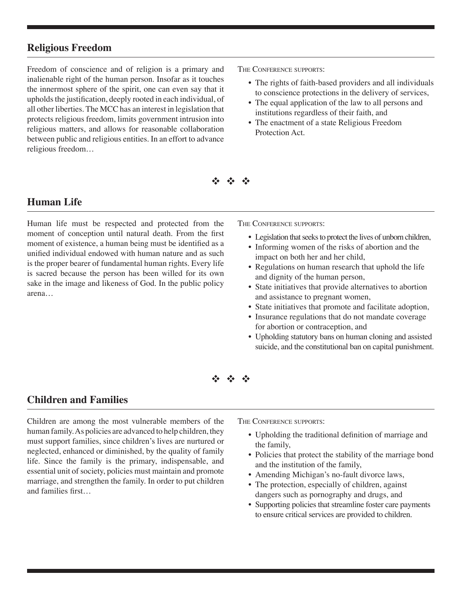## **Religious Freedom**

Freedom of conscience and of religion is a primary and inalienable right of the human person. Insofar as it touches the innermost sphere of the spirit, one can even say that it upholds the justification, deeply rooted in each individual, of all other liberties. The MCC has an interest in legislation that protects religious freedom, limits government intrusion into religious matters, and allows for reasonable collaboration between public and religious entities. In an effort to advance religious freedom…

THE CONFERENCE SUPPORTS:

- The rights of faith-based providers and all individuals to conscience protections in the delivery of services,
- The equal application of the law to all persons and institutions regardless of their faith, and
- The enactment of a state Religious Freedom Protection Act.

 $\label{eq:2.1} \mathcal{L}^{(1)}_{\mathcal{A}} = \mathcal{L}^{(1)}_{\mathcal{A}} = \mathcal{L}^{(2)}_{\mathcal{A}}$ 

## **Human Life**

Human life must be respected and protected from the moment of conception until natural death. From the first moment of existence, a human being must be identified as a unified individual endowed with human nature and as such is the proper bearer of fundamental human rights. Every life is sacred because the person has been willed for its own sake in the image and likeness of God. In the public policy arena…

THE CONFERENCE SUPPORTS:

- Legislation that seeks to protect the lives of unborn children,
- Informing women of the risks of abortion and the impact on both her and her child,
- Regulations on human research that uphold the life and dignity of the human person,
- State initiatives that provide alternatives to abortion and assistance to pregnant women,
- State initiatives that promote and facilitate adoption,
- Insurance regulations that do not mandate coverage for abortion or contraception, and
- Upholding statutory bans on human cloning and assisted suicide, and the constitutional ban on capital punishment.

#### $\label{eq:2.1} \begin{array}{ccc} \mathcal{E}_{\mathcal{A}}^{\mathcal{A}} & \mathcal{E}_{\mathcal{A}}^{\mathcal{A}} & \mathcal{E}_{\mathcal{A}}^{\mathcal{A}} \end{array}$

#### **Children and Families**

Children are among the most vulnerable members of the human family. As policies are advanced to help children, they must support families, since children's lives are nurtured or neglected, enhanced or diminished, by the quality of family life. Since the family is the primary, indispensable, and essential unit of society, policies must maintain and promote marriage, and strengthen the family. In order to put children and families first…

THE CONFERENCE SUPPORTS:

- Upholding the traditional definition of marriage and the family,
- Policies that protect the stability of the marriage bond and the institution of the family,
- Amending Michigan's no-fault divorce laws,
- The protection, especially of children, against dangers such as pornography and drugs, and
- Supporting policies that streamline foster care payments to ensure critical services are provided to children.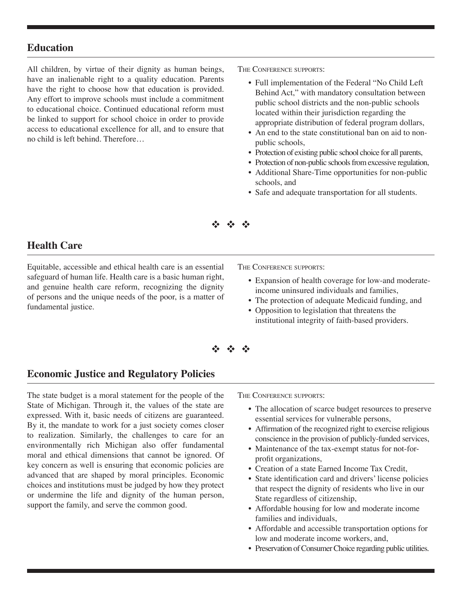#### **Education**

All children, by virtue of their dignity as human beings, have an inalienable right to a quality education. Parents have the right to choose how that education is provided. Any effort to improve schools must include a commitment to educational choice. Continued educational reform must be linked to support for school choice in order to provide access to educational excellence for all, and to ensure that no child is left behind. Therefore…

THE CONFERENCE SUPPORTS:

- Full implementation of the Federal "No Child Left Behind Act," with mandatory consultation between public school districts and the non-public schools located within their jurisdiction regarding the appropriate distribution of federal program dollars,
- An end to the state constitutional ban on aid to nonpublic schools,
- Protection of existing public school choice for all parents,
- Protection of non-public schools from excessive regulation,
- Additional Share-Time opportunities for non-public schools, and
- Safe and adequate transportation for all students.

de de de

## **Health Care**

Equitable, accessible and ethical health care is an essential safeguard of human life. Health care is a basic human right, and genuine health care reform, recognizing the dignity of persons and the unique needs of the poor, is a matter of fundamental justice.

THE CONFERENCE SUPPORTS:

- Expansion of health coverage for low-and moderateincome uninsured individuals and families,
- The protection of adequate Medicaid funding, and
- Opposition to legislation that threatens the institutional integrity of faith-based providers.



## **Economic Justice and Regulatory Policies**

The state budget is a moral statement for the people of the State of Michigan. Through it, the values of the state are expressed. With it, basic needs of citizens are guaranteed. By it, the mandate to work for a just society comes closer to realization. Similarly, the challenges to care for an environmentally rich Michigan also offer fundamental moral and ethical dimensions that cannot be ignored. Of key concern as well is ensuring that economic policies are advanced that are shaped by moral principles. Economic choices and institutions must be judged by how they protect or undermine the life and dignity of the human person, support the family, and serve the common good.

THE CONFERENCE SUPPORTS:

- The allocation of scarce budget resources to preserve essential services for vulnerable persons,
- Affirmation of the recognized right to exercise religious conscience in the provision of publicly-funded services,
- Maintenance of the tax-exempt status for not-forprofit organizations,
- Creation of a state Earned Income Tax Credit,
- State identification card and drivers' license policies that respect the dignity of residents who live in our State regardless of citizenship,
- Affordable housing for low and moderate income families and individuals,
- Affordable and accessible transportation options for low and moderate income workers, and,
- Preservation of Consumer Choice regarding public utilities.